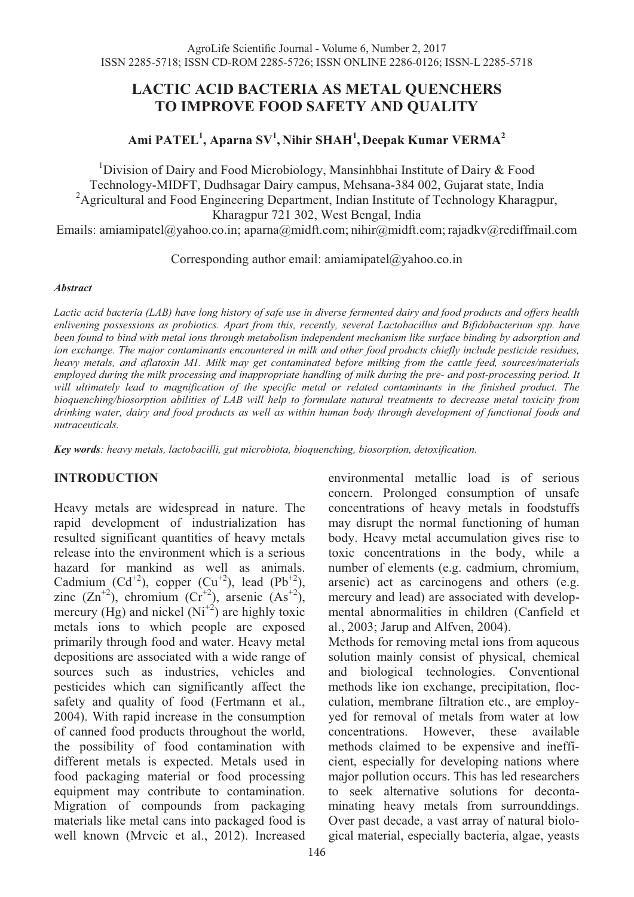### **LACTIC ACID BACTERIA AS METAL QUENCHERS TO IMPROVE FOOD SAFETY AND QUALITY**

# **Ami PATEL1 , Aparna SV1 , Nihir SHAH<sup>1</sup> , Deepak Kumar VERMA2**

<sup>1</sup>Division of Dairy and Food Microbiology, Mansinhbhai Institute of Dairy  $\&$  Food Technology-MIDFT, Dudhsagar Dairy campus, Mehsana-384 002, Gujarat state, India <sup>2</sup>Agricultural and Food Engineering Department, Indian Institute of Technology Kharagpur, Kharagpur 721 302, West Bengal, India

Emails: amiamipatel@yahoo.co.in; aparna@midft.com; nihir@midft.com; rajadkv@rediffmail.com

Corresponding author email: amiamipatel@yahoo.co.in

#### *Abstract*

*Lactic acid bacteria (LAB) have long history of safe use in diverse fermented dairy and food products and offers health enlivening possessions as probiotics. Apart from this, recently, several Lactobacillus and Bifidobacterium spp. have been found to bind with metal ions through metabolism independent mechanism like surface binding by adsorption and*  ion exchange. The major contaminants encountered in milk and other food products chiefly include pesticide residues, *heavy metals, and aflatoxin M1. Milk may get contaminated before milking from the cattle feed, sources/materials employed during the milk processing and inappropriate handling of milk during the pre- and post-processing period. It*  will ultimately lead to magnification of the specific metal or related contaminants in the finished product. The *bioquenching/biosorption abilities of LAB will help to formulate natural treatments to decrease metal toxicity from drinking water, dairy and food products as well as within human body through development of functional foods and nutraceuticals.* 

*Key words: heavy metals, lactobacilli, gut microbiota, bioquenching, biosorption, detoxification.* 

### **INTRODUCTION**

Heavy metals are widespread in nature. The rapid development of industrialization has resulted significant quantities of heavy metals release into the environment which is a serious hazard for mankind as well as animals. Cadmium  $(Cd^{+2})$ , copper  $(Cu^{+2})$ , lead  $(Pb^{+2})$ , zinc  $(Zn^{+2})$ , chromium  $(Cr^{+2})$ , arsenic  $(As^{+2})$ , mercury (Hg) and nickel  $(N<sup>{+2}</sup>)$  are highly toxic metals ions to which people are exposed primarily through food and water. Heavy metal depositions are associated with a wide range of sources such as industries, vehicles and pesticides which can significantly affect the safety and quality of food (Fertmann et al., 2004). With rapid increase in the consumption of canned food products throughout the world, the possibility of food contamination with different metals is expected. Metals used in food packaging material or food processing equipment may contribute to contamination. Migration of compounds from packaging materials like metal cans into packaged food is well known (Mrvcic et al., 2012). Increased

environmental metallic load is of serious concern. Prolonged consumption of unsafe concentrations of heavy metals in foodstuffs may disrupt the normal functioning of human body. Heavy metal accumulation gives rise to toxic concentrations in the body, while a number of elements (e.g. cadmium, chromium, arsenic) act as carcinogens and others (e.g. mercury and lead) are associated with developmental abnormalities in children (Canfield et al., 2003; Jarup and Alfven, 2004).

Methods for removing metal ions from aqueous solution mainly consist of physical, chemical and biological technologies. Conventional methods like ion exchange, precipitation, flocculation, membrane filtration etc., are employyed for removal of metals from water at low concentrations. However, these available methods claimed to be expensive and inefficient, especially for developing nations where major pollution occurs. This has led researchers to seek alternative solutions for decontaminating heavy metals from surrounddings. Over past decade, a vast array of natural biological material, especially bacteria, algae, yeasts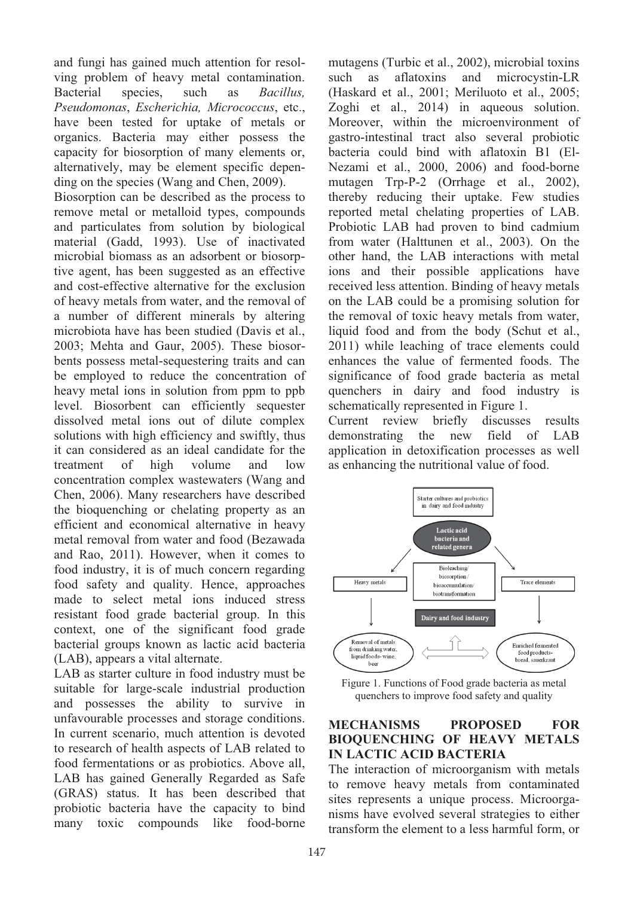and fungi has gained much attention for resolving problem of heavy metal contamination. Bacterial species, such as *Bacillus, Pseudomonas*, *Escherichia, Micrococcus*, etc., have been tested for uptake of metals or organics. Bacteria may either possess the capacity for biosorption of many elements or, alternatively, may be element specific depending on the species (Wang and Chen, 2009).

Biosorption can be described as the process to remove metal or metalloid types, compounds and particulates from solution by biological material (Gadd, 1993). Use of inactivated microbial biomass as an adsorbent or biosorptive agent, has been suggested as an effective and cost-effective alternative for the exclusion of heavy metals from water, and the removal of a number of different minerals by altering microbiota have has been studied (Davis et al., 2003; Mehta and Gaur, 2005). These biosorbents possess metal-sequestering traits and can be employed to reduce the concentration of heavy metal ions in solution from ppm to ppb level. Biosorbent can efficiently sequester dissolved metal ions out of dilute complex solutions with high efficiency and swiftly, thus it can considered as an ideal candidate for the treatment of high volume and low concentration complex wastewaters (Wang and Chen, 2006). Many researchers have described the bioquenching or chelating property as an efficient and economical alternative in heavy metal removal from water and food (Bezawada and Rao, 2011). However, when it comes to food industry, it is of much concern regarding food safety and quality. Hence, approaches made to select metal ions induced stress resistant food grade bacterial group. In this context, one of the significant food grade bacterial groups known as lactic acid bacteria (LAB), appears a vital alternate.

LAB as starter culture in food industry must be suitable for large-scale industrial production and possesses the ability to survive in unfavourable processes and storage conditions. In current scenario, much attention is devoted to research of health aspects of LAB related to food fermentations or as probiotics. Above all, LAB has gained Generally Regarded as Safe (GRAS) status. It has been described that probiotic bacteria have the capacity to bind many toxic compounds like food-borne

mutagens (Turbic et al., 2002), microbial toxins such as aflatoxins and microcystin-LR (Haskard et al., 2001; Meriluoto et al., 2005; Zoghi et al., 2014) in aqueous solution. Moreover, within the microenvironment of gastro-intestinal tract also several probiotic bacteria could bind with aflatoxin B1 (El-Nezami et al., 2000, 2006) and food-borne mutagen Trp-P-2 (Orrhage et al., 2002), thereby reducing their uptake. Few studies reported metal chelating properties of LAB. Probiotic LAB had proven to bind cadmium from water (Halttunen et al., 2003). On the other hand, the LAB interactions with metal ions and their possible applications have received less attention. Binding of heavy metals on the LAB could be a promising solution for the removal of toxic heavy metals from water, liquid food and from the body (Schut et al., 2011) while leaching of trace elements could enhances the value of fermented foods. The significance of food grade bacteria as metal quenchers in dairy and food industry is schematically represented in Figure 1.

Current review briefly discusses results demonstrating the new field of LAB application in detoxification processes as well as enhancing the nutritional value of food.



Figure 1. Functions of Food grade bacteria as metal quenchers to improve food safety and quality

### **MECHANISMS PROPOSED FOR BIOQUENCHING OF HEAVY METALS IN LACTIC ACID BACTERIA**

The interaction of microorganism with metals to remove heavy metals from contaminated sites represents a unique process. Microorganisms have evolved several strategies to either transform the element to a less harmful form, or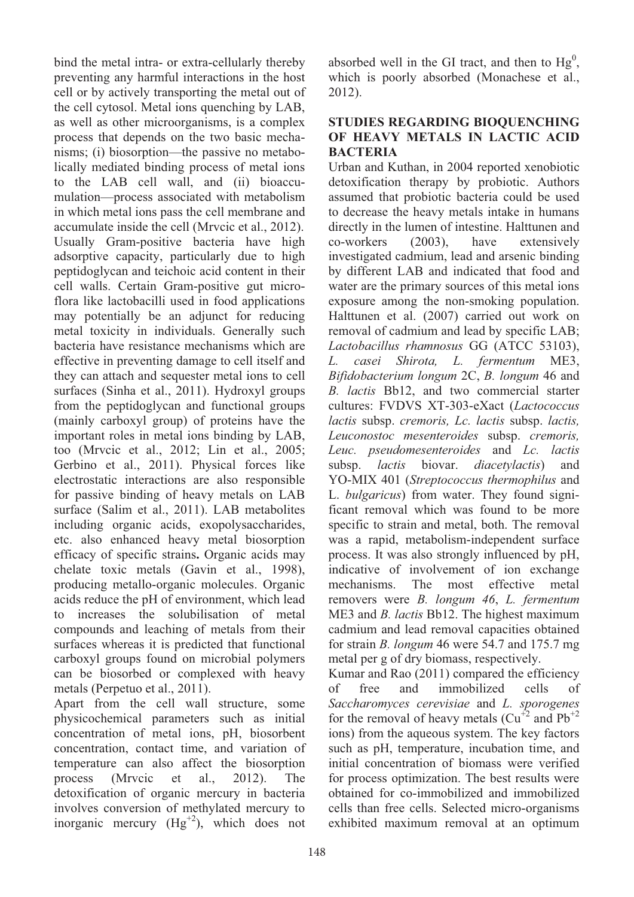bind the metal intra- or extra-cellularly thereby preventing any harmful interactions in the host cell or by actively transporting the metal out of the cell cytosol. Metal ions quenching by LAB, as well as other microorganisms, is a complex process that depends on the two basic mechanisms; (i) biosorption—the passive no metabolically mediated binding process of metal ions to the LAB cell wall, and (ii) bioaccumulation—process associated with metabolism in which metal ions pass the cell membrane and accumulate inside the cell (Mrvcic et al., 2012). Usually Gram-positive bacteria have high adsorptive capacity, particularly due to high peptidoglycan and teichoic acid content in their cell walls. Certain Gram-positive gut microflora like lactobacilli used in food applications may potentially be an adjunct for reducing metal toxicity in individuals. Generally such bacteria have resistance mechanisms which are effective in preventing damage to cell itself and they can attach and sequester metal ions to cell surfaces (Sinha et al., 2011). Hydroxyl groups from the peptidoglycan and functional groups (mainly carboxyl group) of proteins have the important roles in metal ions binding by LAB, too (Mrvcic et al., 2012; Lin et al., 2005; Gerbino et al., 2011). Physical forces like electrostatic interactions are also responsible for passive binding of heavy metals on LAB surface (Salim et al., 2011). LAB metabolites including organic acids, exopolysaccharides, etc. also enhanced heavy metal biosorption efficacy of specific strains**.** Organic acids may chelate toxic metals (Gavin et al., 1998), producing metallo-organic molecules. Organic acids reduce the pH of environment, which lead to increases the solubilisation of metal compounds and leaching of metals from their surfaces whereas it is predicted that functional carboxyl groups found on microbial polymers can be biosorbed or complexed with heavy metals (Perpetuo et al., 2011).

Apart from the cell wall structure, some physicochemical parameters such as initial concentration of metal ions, pH, biosorbent concentration, contact time, and variation of temperature can also affect the biosorption process (Mrvcic et al., 2012). The detoxification of organic mercury in bacteria involves conversion of methylated mercury to inorganic mercury  $(Hg^{+2})$ , which does not

absorbed well in the GI tract, and then to  $Hg^0$ , which is poorly absorbed (Monachese et al., 2012).

#### **STUDIES REGARDING BIOQUENCHING OF HEAVY METALS IN LACTIC ACID BACTERIA**

Urban and Kuthan, in 2004 reported xenobiotic detoxification therapy by probiotic. Authors assumed that probiotic bacteria could be used to decrease the heavy metals intake in humans directly in the lumen of intestine. Halttunen and co-workers (2003), have extensively investigated cadmium, lead and arsenic binding by different LAB and indicated that food and water are the primary sources of this metal ions exposure among the non-smoking population. Halttunen et al. (2007) carried out work on removal of cadmium and lead by specific LAB; *Lactobacillus rhamnosus* GG (ATCC 53103), *L. casei Shirota, L. fermentum* ME3, *Bifidobacterium longum* 2C, *B. longum* 46 and *B. lactis* Bb12, and two commercial starter cultures: FVDVS XT-303-eXact (*Lactococcus lactis* subsp. *cremoris, Lc. lactis* subsp. *lactis, Leuconostoc mesenteroides* subsp. *cremoris, Leuc. pseudomesenteroides* and *Lc. lactis*  subsp. *lactis* biovar. *diacetylactis*) and YO-MIX 401 (*Streptococcus thermophilus* and L. *bulgaricus*) from water. They found significant removal which was found to be more specific to strain and metal, both. The removal was a rapid, metabolism-independent surface process. It was also strongly influenced by pH, indicative of involvement of ion exchange mechanisms. The most effective metal removers were *B. longum 46*, *L. fermentum* ME3 and *B. lactis* Bb12. The highest maximum cadmium and lead removal capacities obtained for strain *B. longum* 46 were 54.7 and 175.7 mg metal per g of dry biomass, respectively.

Kumar and Rao (2011) compared the efficiency of free and immobilized cells of *Saccharomyces cerevisiae* and *L. sporogenes*  for the removal of heavy metals  $(Cu^{+2}$  and  $Pb^{+2}$ ions) from the aqueous system. The key factors such as pH, temperature, incubation time, and initial concentration of biomass were verified for process optimization. The best results were obtained for co-immobilized and immobilized cells than free cells. Selected micro-organisms exhibited maximum removal at an optimum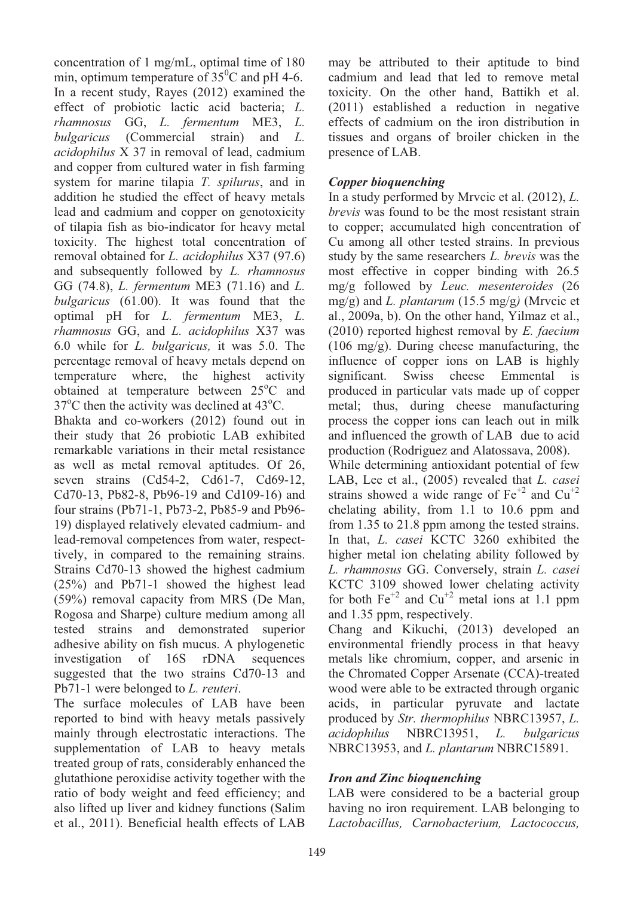concentration of 1 mg/mL, optimal time of 180 min, optimum temperature of  $35^{\circ}$ C and pH 4-6. In a recent study, Rayes (2012) examined the effect of probiotic lactic acid bacteria; *L. rhamnosus* GG, *L. fermentum* ME3, *L. bulgaricus* (Commercial strain) and *L. acidophilus* X 37 in removal of lead, cadmium and copper from cultured water in fish farming system for marine tilapia *T. spilurus*, and in addition he studied the effect of heavy metals lead and cadmium and copper on genotoxicity of tilapia fish as bio-indicator for heavy metal toxicity. The highest total concentration of removal obtained for *L. acidophilus* X37 (97.6) and subsequently followed by *L. rhamnosus*  GG (74.8), *L. fermentum* ME3 (71.16) and *L. bulgaricus* (61.00). It was found that the optimal pH for *L. fermentum* ME3, *L. rhamnosus* GG, and *L. acidophilus* X37 was 6.0 while for *L. bulgaricus,* it was 5.0. The percentage removal of heavy metals depend on temperature where, the highest activity obtained at temperature between 25°C and  $37^{\circ}$ C then the activity was declined at 43 $^{\circ}$ C.

Bhakta and co-workers (2012) found out in their study that 26 probiotic LAB exhibited remarkable variations in their metal resistance as well as metal removal aptitudes. Of 26, seven strains (Cd54-2, Cd61-7, Cd69-12, Cd70-13, Pb82-8, Pb96-19 and Cd109-16) and four strains (Pb71-1, Pb73-2, Pb85-9 and Pb96- 19) displayed relatively elevated cadmium- and lead-removal competences from water, respecttively, in compared to the remaining strains. Strains Cd70-13 showed the highest cadmium (25%) and Pb71-1 showed the highest lead (59%) removal capacity from MRS (De Man, Rogosa and Sharpe) culture medium among all tested strains and demonstrated superior adhesive ability on fish mucus. A phylogenetic investigation of 16S rDNA sequences suggested that the two strains Cd70-13 and Pb71-1 were belonged to *L. reuteri*.

The surface molecules of LAB have been reported to bind with heavy metals passively mainly through electrostatic interactions. The supplementation of LAB to heavy metals treated group of rats, considerably enhanced the glutathione peroxidise activity together with the ratio of body weight and feed efficiency; and also lifted up liver and kidney functions (Salim et al., 2011). Beneficial health effects of LAB

may be attributed to their aptitude to bind cadmium and lead that led to remove metal toxicity. On the other hand, Battikh et al. (2011) established a reduction in negative effects of cadmium on the iron distribution in tissues and organs of broiler chicken in the presence of LAB.

### *Copper bioquenching*

In a study performed by Mrvcic et al. (2012), *L. brevis* was found to be the most resistant strain to copper; accumulated high concentration of Cu among all other tested strains. In previous study by the same researchers *L. brevis* was the most effective in copper binding with 26.5 mg/g followed by *Leuc. mesenteroides* (26 mg/g) and *L. plantarum* (15.5 mg/g*)* (Mrvcic et al., 2009a, b). On the other hand, Yilmaz et al., (2010) reported highest removal by *E. faecium* (106 mg/g). During cheese manufacturing, the influence of copper ions on LAB is highly significant. Swiss cheese Emmental is produced in particular vats made up of copper metal; thus, during cheese manufacturing process the copper ions can leach out in milk and influenced the growth of LAB due to acid production (Rodriguez and Alatossava, 2008). While determining antioxidant potential of few LAB, Lee et al., (2005) revealed that *L. casei*  strains showed a wide range of  $Fe^{+2}$  and  $Cu^{+2}$ chelating ability, from 1.1 to 10.6 ppm and from 1.35 to 21.8 ppm among the tested strains. In that, *L. casei* KCTC 3260 exhibited the higher metal ion chelating ability followed by *L. rhamnosus* GG. Conversely, strain *L. casei*  KCTC 3109 showed lower chelating activity

for both  $Fe^{+2}$  and  $Cu^{+2}$  metal ions at 1.1 ppm and 1.35 ppm, respectively. Chang and Kikuchi, (2013) developed an environmental friendly process in that heavy

metals like chromium, copper, and arsenic in the Chromated Copper Arsenate (CCA)-treated wood were able to be extracted through organic acids, in particular pyruvate and lactate produced by *Str. thermophilus* NBRC13957, *L. acidophilus* NBRC13951, *L. bulgaricus* NBRC13953, and *L. plantarum* NBRC15891.

### *Iron and Zinc bioquenching*

LAB were considered to be a bacterial group having no iron requirement. LAB belonging to *Lactobacillus, Carnobacterium, Lactococcus,*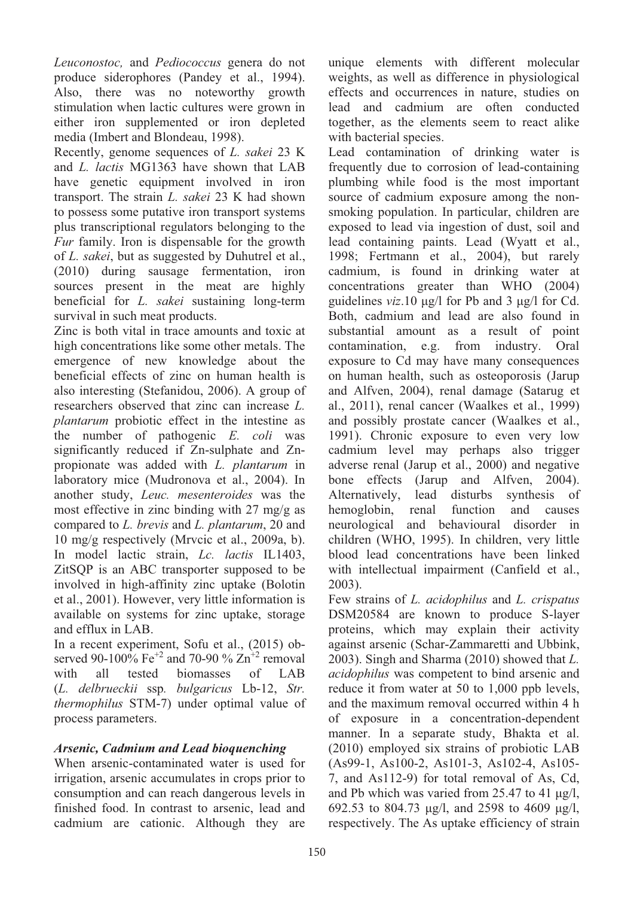*Leuconostoc,* and *Pediococcus* genera do not produce siderophores (Pandey et al., 1994). Also, there was no noteworthy growth stimulation when lactic cultures were grown in either iron supplemented or iron depleted media (Imbert and Blondeau, 1998).

Recently, genome sequences of *L. sakei* 23 K and *L. lactis* MG1363 have shown that LAB have genetic equipment involved in iron transport. The strain *L. sakei* 23 K had shown to possess some putative iron transport systems plus transcriptional regulators belonging to the *Fur* family. Iron is dispensable for the growth of *L. sakei*, but as suggested by Duhutrel et al., (2010) during sausage fermentation, iron sources present in the meat are highly beneficial for *L. sakei* sustaining long-term survival in such meat products.

Zinc is both vital in trace amounts and toxic at high concentrations like some other metals. The emergence of new knowledge about the beneficial effects of zinc on human health is also interesting (Stefanidou, 2006). A group of researchers observed that zinc can increase *L. plantarum* probiotic effect in the intestine as the number of pathogenic *E. coli* was significantly reduced if Zn-sulphate and Znpropionate was added with *L. plantarum* in laboratory mice (Mudronova et al., 2004). In another study, *Leuc. mesenteroides* was the most effective in zinc binding with 27 mg/g as compared to *L. brevis* and *L. plantarum*, 20 and 10 mg/g respectively (Mrvcic et al., 2009a, b). In model lactic strain, *Lc. lactis* IL1403, ZitSQP is an ABC transporter supposed to be involved in high-affinity zinc uptake (Bolotin et al., 2001). However, very little information is available on systems for zinc uptake, storage and efflux in LAB.

In a recent experiment, Sofu et al., (2015) observed 90-100% Fe<sup>+2</sup> and 70-90 %  $\text{Zn}^{+2}$  removal with all tested biomasses of LAB (*L. delbrueckii* ssp*. bulgaricus* Lb-12, *Str. thermophilus* STM-7) under optimal value of process parameters.

### *Arsenic, Cadmium and Lead bioquenching*

When arsenic-contaminated water is used for irrigation, arsenic accumulates in crops prior to consumption and can reach dangerous levels in finished food. In contrast to arsenic, lead and cadmium are cationic. Although they are

unique elements with different molecular weights, as well as difference in physiological effects and occurrences in nature, studies on lead and cadmium are often conducted together, as the elements seem to react alike with bacterial species.

Lead contamination of drinking water is frequently due to corrosion of lead-containing plumbing while food is the most important source of cadmium exposure among the nonsmoking population. In particular, children are exposed to lead via ingestion of dust, soil and lead containing paints. Lead (Wyatt et al., 1998; Fertmann et al., 2004), but rarely cadmium, is found in drinking water at concentrations greater than WHO (2004) guidelines *viz*.10 μg/l for Pb and 3 μg/l for Cd. Both, cadmium and lead are also found in substantial amount as a result of point contamination, e.g. from industry. Oral exposure to Cd may have many consequences on human health, such as osteoporosis (Jarup and Alfven, 2004), renal damage (Satarug et al., 2011), renal cancer (Waalkes et al., 1999) and possibly prostate cancer (Waalkes et al., 1991). Chronic exposure to even very low cadmium level may perhaps also trigger adverse renal (Jarup et al., 2000) and negative bone effects (Jarup and Alfven, 2004). Alternatively, lead disturbs synthesis of hemoglobin, renal function and causes neurological and behavioural disorder in children (WHO, 1995). In children, very little blood lead concentrations have been linked with intellectual impairment (Canfield et al., 2003).

Few strains of *L. acidophilus* and *L. crispatus* DSM20584 are known to produce S-layer proteins, which may explain their activity against arsenic (Schar-Zammaretti and Ubbink, 2003). Singh and Sharma (2010) showed that *L. acidophilus* was competent to bind arsenic and reduce it from water at 50 to 1,000 ppb levels, and the maximum removal occurred within 4 h of exposure in a concentration-dependent manner. In a separate study, Bhakta et al. (2010) employed six strains of probiotic LAB (As99-1, As100-2, As101-3, As102-4, As105- 7, and As112-9) for total removal of As, Cd, and Pb which was varied from 25.47 to 41 μg/l, 692.53 to 804.73 μg/l, and 2598 to 4609 μg/l, respectively. The As uptake efficiency of strain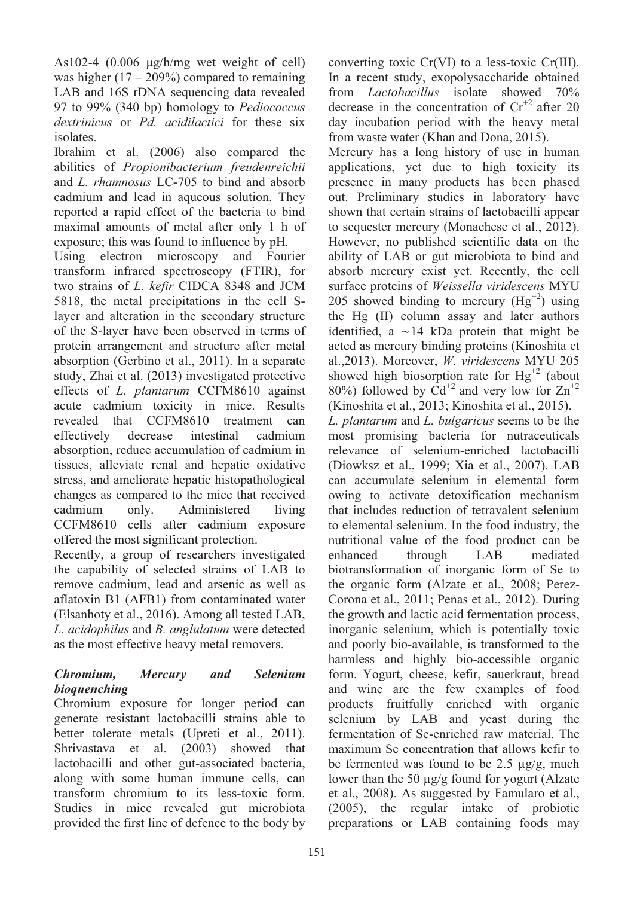As102-4 (0.006 μg/h/mg wet weight of cell) was higher  $(17 - 209\%)$  compared to remaining LAB and 16S rDNA sequencing data revealed 97 to 99% (340 bp) homology to *Pediococcus dextrinicus* or *Pd. acidilactici* for these six isolates.

Ibrahim et al. (2006) also compared the abilities of *Propionibacterium freudenreichii*  and *L. rhamnosus* LC-705 to bind and absorb cadmium and lead in aqueous solution. They reported a rapid effect of the bacteria to bind maximal amounts of metal after only 1 h of exposure; this was found to influence by pH*.* 

Using electron microscopy and Fourier transform infrared spectroscopy (FTIR), for two strains of *L. kefir* CIDCA 8348 and JCM 5818, the metal precipitations in the cell Slayer and alteration in the secondary structure of the S-layer have been observed in terms of protein arrangement and structure after metal absorption (Gerbino et al., 2011). In a separate study, Zhai et al. (2013) investigated protective effects of *L. plantarum* CCFM8610 against acute cadmium toxicity in mice. Results revealed that CCFM8610 treatment can effectively decrease intestinal cadmium absorption, reduce accumulation of cadmium in tissues, alleviate renal and hepatic oxidative stress, and ameliorate hepatic histopathological changes as compared to the mice that received cadmium only. Administered living CCFM8610 cells after cadmium exposure offered the most significant protection.

Recently, a group of researchers investigated the capability of selected strains of LAB to remove cadmium, lead and arsenic as well as aflatoxin B1 (AFB1) from contaminated water (Elsanhoty et al., 2016). Among all tested LAB, *L. acidophilus* and *B. anglulatum* were detected as the most effective heavy metal removers.

## *Chromium, Mercury and Selenium bioquenching*

Chromium exposure for longer period can generate resistant lactobacilli strains able to better tolerate metals (Upreti et al., 2011). Shrivastava et al. (2003) showed that lactobacilli and other gut-associated bacteria, along with some human immune cells, can transform chromium to its less-toxic form. Studies in mice revealed gut microbiota provided the first line of defence to the body by converting toxic Cr(VI) to a less-toxic Cr(III). In a recent study, exopolysaccharide obtained from *Lactobacillus* isolate showed 70% decrease in the concentration of  $Cr^{2}$  after 20 day incubation period with the heavy metal from waste water (Khan and Dona, 2015).

Mercury has a long history of use in human applications, yet due to high toxicity its presence in many products has been phased out. Preliminary studies in laboratory have shown that certain strains of lactobacilli appear to sequester mercury (Monachese et al., 2012). However, no published scientific data on the ability of LAB or gut microbiota to bind and absorb mercury exist yet. Recently, the cell surface proteins of *Weissella viridescens* MYU 205 showed binding to mercury  $(Hg^{+2})$  using the Hg (II) column assay and later authors identified, a  $\sim$  14 kDa protein that might be acted as mercury binding proteins (Kinoshita et al.,2013). Moreover, *W. viridescens* MYU 205 showed high biosorption rate for  $Hg^{+2}$  (about 80%) followed by  $Cd^{+2}$  and very low for  $Zn^{+2}$ 

(Kinoshita et al., 2013; Kinoshita et al., 2015). *L. plantarum* and *L. bulgaricus* seems to be the most promising bacteria for nutraceuticals relevance of selenium-enriched lactobacilli (Diowksz et al., 1999; Xia et al., 2007). LAB can accumulate selenium in elemental form owing to activate detoxification mechanism that includes reduction of tetravalent selenium to elemental selenium. In the food industry, the nutritional value of the food product can be enhanced through LAB mediated biotransformation of inorganic form of Se to the organic form (Alzate et al., 2008; Perez-Corona et al., 2011; Penas et al., 2012). During the growth and lactic acid fermentation process, inorganic selenium, which is potentially toxic and poorly bio-available, is transformed to the harmless and highly bio-accessible organic form. Yogurt, cheese, kefir, sauerkraut, bread and wine are the few examples of food products fruitfully enriched with organic selenium by LAB and yeast during the fermentation of Se-enriched raw material. The maximum Se concentration that allows kefir to be fermented was found to be 2.5  $\mu$ g/g, much lower than the 50  $\mu$ g/g found for yogurt (Alzate et al., 2008). As suggested by Famularo et al., (2005), the regular intake of probiotic preparations or LAB containing foods may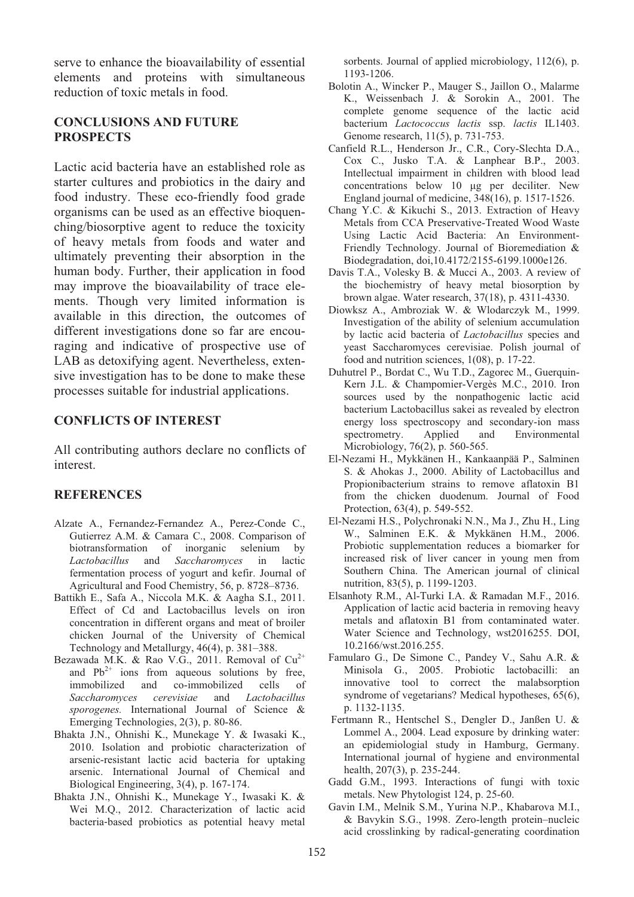serve to enhance the bioavailability of essential elements and proteins with simultaneous reduction of toxic metals in food.

### **CONCLUSIONS AND FUTURE PROSPECTS**

Lactic acid bacteria have an established role as starter cultures and probiotics in the dairy and food industry. These eco-friendly food grade organisms can be used as an effective bioquenching/biosorptive agent to reduce the toxicity of heavy metals from foods and water and ultimately preventing their absorption in the human body. Further, their application in food may improve the bioavailability of trace elements. Though very limited information is available in this direction, the outcomes of different investigations done so far are encouraging and indicative of prospective use of LAB as detoxifying agent. Nevertheless, extensive investigation has to be done to make these processes suitable for industrial applications.

### **CONFLICTS OF INTEREST**

All contributing authors declare no conflicts of interest.

### **REFERENCES**

- Alzate A., Fernandez-Fernandez A., Perez-Conde C., Gutierrez A.M. & Camara C., 2008. Comparison of biotransformation of inorganic selenium by *Lactobacillus* and *Saccharomyces* in lactic fermentation process of yogurt and kefir. Journal of Agricultural and Food Chemistry, 56, p. 8728–8736.
- Battikh E., Safa A., Niccola M.K. & Aagha S.I., 2011. Effect of Cd and Lactobacillus levels on iron concentration in different organs and meat of broiler chicken Journal of the University of Chemical Technology and Metallurgy, 46(4), p. 381–388.
- Bezawada M.K. & Rao V.G., 2011. Removal of  $Cu^{2+}$ and  $Pb^{2+}$  ions from aqueous solutions by free,<br>immobilized and co-immobilized cells of immobilized and co-immobilized cells of *Saccharomyces cerevisiae* and *Lactobacillus sporogenes.* International Journal of Science & Emerging Technologies, 2(3), p. 80-86.
- Bhakta J.N., Ohnishi K., Munekage Y. & Iwasaki K., 2010. Isolation and probiotic characterization of arsenic-resistant lactic acid bacteria for uptaking arsenic. International Journal of Chemical and Biological Engineering, 3(4), p. 167-174.
- Bhakta J.N., Ohnishi K., Munekage Y., Iwasaki K. & Wei M.Q., 2012. Characterization of lactic acid bacteria-based probiotics as potential heavy metal

sorbents. Journal of applied microbiology, 112(6), p. 1193-1206.

- Bolotin A., Wincker P., Mauger S., Jaillon O., Malarme K., Weissenbach J. & Sorokin A., 2001. The complete genome sequence of the lactic acid bacterium *Lactococcus lactis* ssp. *lactis* IL1403. Genome research, 11(5), p. 731-753.
- Canfield R.L., Henderson Jr., C.R., Cory-Slechta D.A., Cox C., Jusko T.A. & Lanphear B.P., 2003. Intellectual impairment in children with blood lead concentrations below 10 μg per deciliter. New England journal of medicine, 348(16), p. 1517-1526.
- Chang Y.C. & Kikuchi S., 2013. Extraction of Heavy Metals from CCA Preservative-Treated Wood Waste Using Lactic Acid Bacteria: An Environment-Friendly Technology. Journal of Bioremediation & Biodegradation, doi,10.4172/2155-6199.1000e126.
- Davis T.A., Volesky B. & Mucci A., 2003. A review of the biochemistry of heavy metal biosorption by brown algae. Water research, 37(18), p. 4311-4330.
- Diowksz A., Ambroziak W. & Wlodarczyk M., 1999. Investigation of the ability of selenium accumulation by lactic acid bacteria of *Lactobacillus* species and yeast Saccharomyces cerevisiae. Polish journal of food and nutrition sciences, 1(08), p. 17-22.
- Duhutrel P., Bordat C., Wu T.D., Zagorec M., Guerquin-Kern J.L. & Champomier-Vergès M.C., 2010. Iron sources used by the nonpathogenic lactic acid bacterium Lactobacillus sakei as revealed by electron energy loss spectroscopy and secondary-ion mass spectrometry. Applied and Environmental Microbiology, 76(2), p. 560-565.
- El-Nezami H., Mykkänen H., Kankaanpää P., Salminen S. & Ahokas J., 2000. Ability of Lactobacillus and Propionibacterium strains to remove aflatoxin B1 from the chicken duodenum. Journal of Food Protection, 63(4), p. 549-552.
- El-Nezami H.S., Polychronaki N.N., Ma J., Zhu H., Ling W., Salminen E.K. & Mykkänen H.M., 2006. Probiotic supplementation reduces a biomarker for increased risk of liver cancer in young men from Southern China. The American journal of clinical nutrition, 83(5), p. 1199-1203.
- Elsanhoty R.M., Al-Turki I.A. & Ramadan M.F., 2016. Application of lactic acid bacteria in removing heavy metals and aflatoxin B1 from contaminated water. Water Science and Technology, wst2016255. DOI, 10.2166/wst.2016.255.
- Famularo G., De Simone C., Pandey V., Sahu A.R. & Minisola G., 2005. Probiotic lactobacilli: an innovative tool to correct the malabsorption syndrome of vegetarians? Medical hypotheses, 65(6), p. 1132-1135.
- Fertmann R., Hentschel S., Dengler D., Janßen U. & Lommel A., 2004. Lead exposure by drinking water: an epidemiologial study in Hamburg, Germany. International journal of hygiene and environmental health, 207(3), p. 235-244.
- Gadd G.M., 1993. Interactions of fungi with toxic metals. New Phytologist 124, p. 25-60.
- Gavin I.M., Melnik S.M., Yurina N.P., Khabarova M.I., & Bavykin S.G., 1998. Zero-length protein–nucleic acid crosslinking by radical-generating coordination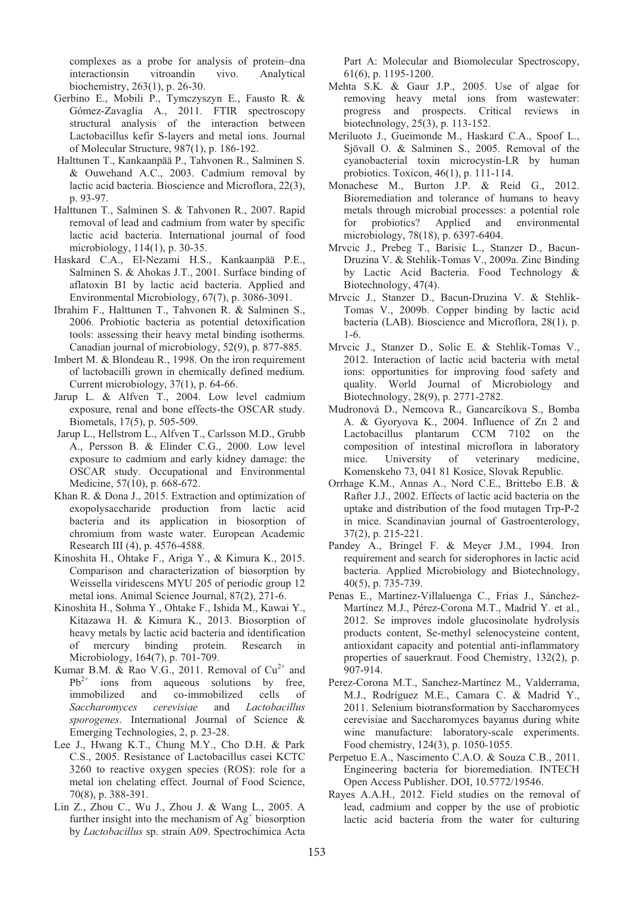complexes as a probe for analysis of protein–dna interactionsin vitroandin vivo. Analytical biochemistry, 263(1), p. 26-30.

- Gerbino E., Mobili P., Tymczyszyn E., Fausto R. & Gómez-Zavaglia A., 2011. FTIR spectroscopy structural analysis of the interaction between Lactobacillus kefir S-layers and metal ions. Journal of Molecular Structure, 987(1), p. 186-192.
- Halttunen T., Kankaanpää P., Tahvonen R., Salminen S. & Ouwehand A.C., 2003. Cadmium removal by lactic acid bacteria. Bioscience and Microflora, 22(3), p. 93-97.
- Halttunen T., Salminen S. & Tahvonen R., 2007. Rapid removal of lead and cadmium from water by specific lactic acid bacteria. International journal of food microbiology, 114(1), p. 30-35.
- Haskard C.A., El-Nezami H.S., Kankaanpää P.E., Salminen S. & Ahokas J.T., 2001. Surface binding of aflatoxin B1 by lactic acid bacteria. Applied and Environmental Microbiology, 67(7), p. 3086-3091.
- Ibrahim F., Halttunen T., Tahvonen R. & Salminen S., 2006. Probiotic bacteria as potential detoxification tools: assessing their heavy metal binding isotherms. Canadian journal of microbiology, 52(9), p. 877-885.
- Imbert M. & Blondeau R., 1998. On the iron requirement of lactobacilli grown in chemically defined medium. Current microbiology, 37(1), p. 64-66.
- Jarup L. & Alfven T., 2004. Low level cadmium exposure, renal and bone effects-the OSCAR study. Biometals, 17(5), p. 505-509.
- Jarup L., Hellstrom L., Alfven T., Carlsson M.D., Grubb A., Persson B. & Elinder C.G., 2000. Low level exposure to cadmium and early kidney damage: the OSCAR study. Occupational and Environmental Medicine, 57(10), p. 668-672.
- Khan R. & Dona J., 2015. Extraction and optimization of exopolysaccharide production from lactic acid bacteria and its application in biosorption of chromium from waste water. European Academic Research III (4), p. 4576-4588.
- Kinoshita H., Ohtake F., Ariga Y., & Kimura K., 2015. Comparison and characterization of biosorption by Weissella viridescens MYU 205 of periodic group 12 metal ions. Animal Science Journal, 87(2), 271-6.
- Kinoshita H., Sohma Y., Ohtake F., Ishida M., Kawai Y., Kitazawa H. & Kimura K., 2013. Biosorption of heavy metals by lactic acid bacteria and identification of mercury binding protein. Research in Microbiology, 164(7), p. 701-709.
- Kumar B.M. & Rao V.G., 2011. Removal of  $Cu^{2+}$  and  $Pb^{2+}$  ions from aqueous solutions by free, immobilized and co-immobilized cells of *Saccharomyces cerevisiae* and *Lactobacillus sporogenes*. International Journal of Science & Emerging Technologies, 2, p. 23-28.
- Lee J., Hwang K.T., Chung M.Y., Cho D.H. & Park C.S., 2005. Resistance of Lactobacillus casei KCTC 3260 to reactive oxygen species (ROS): role for a metal ion chelating effect. Journal of Food Science, 70(8), p. 388-391.
- Lin Z., Zhou C., Wu J., Zhou J. & Wang L., 2005. A further insight into the mechanism of  $Ag<sup>+</sup>$  biosorption by *Lactobacillus* sp. strain A09. Spectrochimica Acta

Part A: Molecular and Biomolecular Spectroscopy, 61(6), p. 1195-1200.

- Mehta S.K. & Gaur J.P., 2005. Use of algae for removing heavy metal ions from wastewater: progress and prospects. Critical reviews in biotechnology, 25(3), p. 113-152.
- Meriluoto J., Gueimonde M., Haskard C.A., Spoof L., Sjövall O. & Salminen S., 2005. Removal of the cyanobacterial toxin microcystin-LR by human probiotics. Toxicon, 46(1), p. 111-114.
- Monachese M., Burton J.P. & Reid G., 2012. Bioremediation and tolerance of humans to heavy metals through microbial processes: a potential role for probiotics? Applied and environmental microbiology, 78(18), p. 6397-6404.
- Mrvcic J., Prebeg T., Barisic L., Stanzer D., Bacun-Druzina V. & Stehlik-Tomas V., 2009a. Zinc Binding by Lactic Acid Bacteria. Food Technology & Biotechnology, 47(4).
- Mrvcic J., Stanzer D., Bacun-Druzina V. & Stehlik-Tomas V., 2009b. Copper binding by lactic acid bacteria (LAB). Bioscience and Microflora, 28(1), p. 1-6.
- Mrvcic J., Stanzer D., Solic E. & Stehlik-Tomas V., 2012. Interaction of lactic acid bacteria with metal ions: opportunities for improving food safety and quality. World Journal of Microbiology and Biotechnology, 28(9), p. 2771-2782.
- Mudronová D., Nemcova R., Gancarcíkova S., Bomba A. & Gyoryova K., 2004. Influence of Zn 2 and Lactobacillus plantarum CCM 7102 on the composition of intestinal microflora in laboratory mice. University of veterinary medicine, Komenskeho 73, 041 81 Kosice, Slovak Republic.
- Orrhage K.M., Annas A., Nord C.E., Brittebo E.B. & Rafter J.J., 2002. Effects of lactic acid bacteria on the uptake and distribution of the food mutagen Trp-P-2 in mice. Scandinavian journal of Gastroenterology, 37(2), p. 215-221.
- Pandey A., Bringel F. & Meyer J.M., 1994. Iron requirement and search for siderophores in lactic acid bacteria. Applied Microbiology and Biotechnology, 40(5), p. 735-739.
- Penas E., Martinez-Villaluenga C., Frias J., Sánchez-Martínez M.J., Pérez-Corona M.T., Madrid Y. et al., 2012. Se improves indole glucosinolate hydrolysis products content, Se-methyl selenocysteine content, antioxidant capacity and potential anti-inflammatory properties of sauerkraut. Food Chemistry, 132(2), p. 907-914.
- Perez-Corona M.T., Sanchez-Martínez M., Valderrama, M.J., Rodríguez M.E., Camara C. & Madrid Y., 2011. Selenium biotransformation by Saccharomyces cerevisiae and Saccharomyces bayanus during white wine manufacture: laboratory-scale experiments. Food chemistry, 124(3), p. 1050-1055.
- Perpetuo E.A., Nascimento C.A.O. & Souza C.B., 2011. Engineering bacteria for bioremediation. INTECH Open Access Publisher. DOI, 10.5772/19546.
- Rayes A.A.H., 2012. Field studies on the removal of lead, cadmium and copper by the use of probiotic lactic acid bacteria from the water for culturing